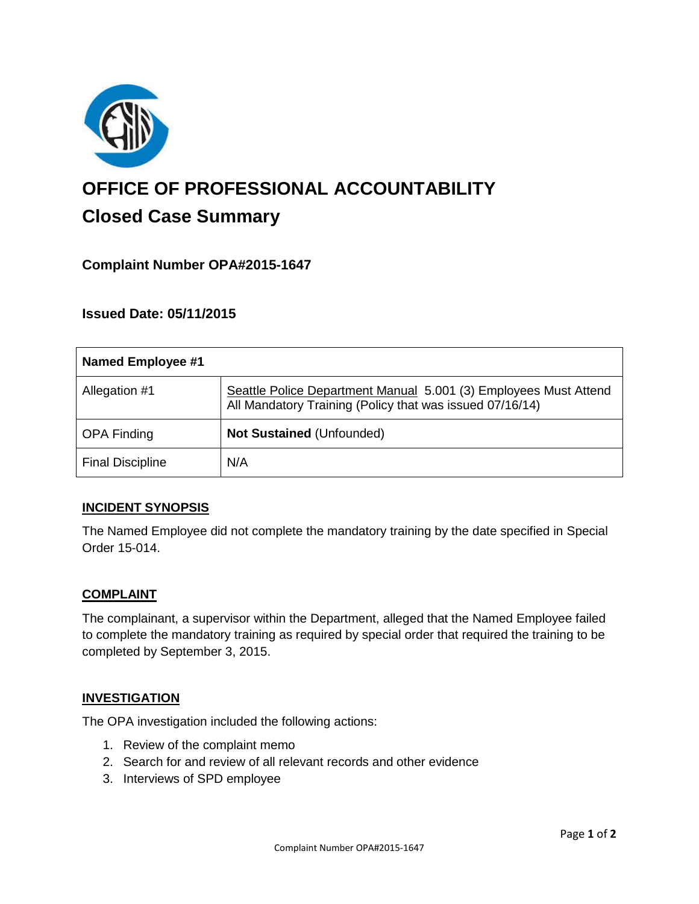

# **OFFICE OF PROFESSIONAL ACCOUNTABILITY Closed Case Summary**

## **Complaint Number OPA#2015-1647**

## **Issued Date: 05/11/2015**

| <b>Named Employee #1</b> |                                                                                                                              |
|--------------------------|------------------------------------------------------------------------------------------------------------------------------|
| Allegation #1            | Seattle Police Department Manual 5.001 (3) Employees Must Attend<br>All Mandatory Training (Policy that was issued 07/16/14) |
| <b>OPA Finding</b>       | Not Sustained (Unfounded)                                                                                                    |
| <b>Final Discipline</b>  | N/A                                                                                                                          |

### **INCIDENT SYNOPSIS**

The Named Employee did not complete the mandatory training by the date specified in Special Order 15-014.

#### **COMPLAINT**

The complainant, a supervisor within the Department, alleged that the Named Employee failed to complete the mandatory training as required by special order that required the training to be completed by September 3, 2015.

#### **INVESTIGATION**

The OPA investigation included the following actions:

- 1. Review of the complaint memo
- 2. Search for and review of all relevant records and other evidence
- 3. Interviews of SPD employee